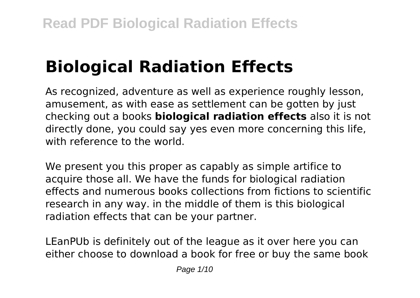# **Biological Radiation Effects**

As recognized, adventure as well as experience roughly lesson, amusement, as with ease as settlement can be gotten by just checking out a books **biological radiation effects** also it is not directly done, you could say yes even more concerning this life, with reference to the world.

We present you this proper as capably as simple artifice to acquire those all. We have the funds for biological radiation effects and numerous books collections from fictions to scientific research in any way. in the middle of them is this biological radiation effects that can be your partner.

LEanPUb is definitely out of the league as it over here you can either choose to download a book for free or buy the same book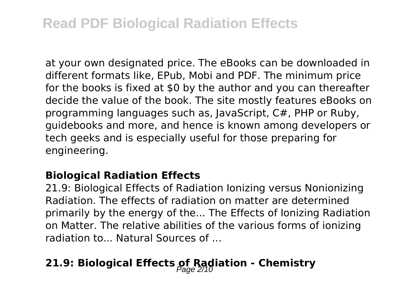at your own designated price. The eBooks can be downloaded in different formats like, EPub, Mobi and PDF. The minimum price for the books is fixed at \$0 by the author and you can thereafter decide the value of the book. The site mostly features eBooks on programming languages such as, JavaScript, C#, PHP or Ruby, guidebooks and more, and hence is known among developers or tech geeks and is especially useful for those preparing for engineering.

#### **Biological Radiation Effects**

21.9: Biological Effects of Radiation Ionizing versus Nonionizing Radiation. The effects of radiation on matter are determined primarily by the energy of the... The Effects of Ionizing Radiation on Matter. The relative abilities of the various forms of ionizing radiation to... Natural Sources of ...

# **21.9: Biological Effects of Radiation - Chemistry**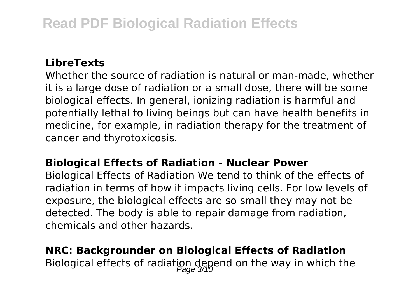### **LibreTexts**

Whether the source of radiation is natural or man-made, whether it is a large dose of radiation or a small dose, there will be some biological effects. In general, ionizing radiation is harmful and potentially lethal to living beings but can have health benefits in medicine, for example, in radiation therapy for the treatment of cancer and thyrotoxicosis.

#### **Biological Effects of Radiation - Nuclear Power**

Biological Effects of Radiation We tend to think of the effects of radiation in terms of how it impacts living cells. For low levels of exposure, the biological effects are so small they may not be detected. The body is able to repair damage from radiation, chemicals and other hazards.

# **NRC: Backgrounder on Biological Effects of Radiation** Biological effects of radiation depend on the way in which the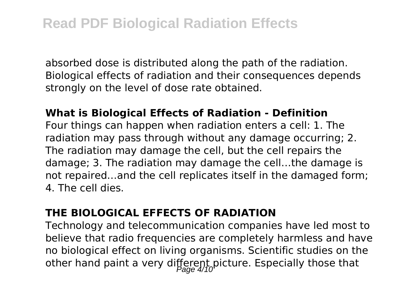absorbed dose is distributed along the path of the radiation. Biological effects of radiation and their consequences depends strongly on the level of dose rate obtained.

#### **What is Biological Effects of Radiation - Definition**

Four things can happen when radiation enters a cell: 1. The radiation may pass through without any damage occurring; 2. The radiation may damage the cell, but the cell repairs the damage; 3. The radiation may damage the cell…the damage is not repaired…and the cell replicates itself in the damaged form; 4. The cell dies.

#### **THE BIOLOGICAL EFFECTS OF RADIATION**

Technology and telecommunication companies have led most to believe that radio frequencies are completely harmless and have no biological effect on living organisms. Scientific studies on the other hand paint a very different picture. Especially those that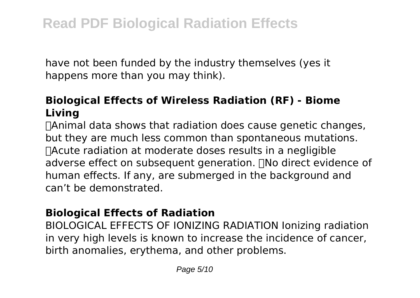have not been funded by the industry themselves (yes it happens more than you may think).

# **Biological Effects of Wireless Radiation (RF) - Biome Living**

Animal data shows that radiation does cause genetic changes, but they are much less common than spontaneous mutations. Acute radiation at moderate doses results in a negligible adverse effect on subsequent generation. No direct evidence of human effects. If any, are submerged in the background and can't be demonstrated.

#### **Biological Effects of Radiation**

BIOLOGICAL EFFECTS OF IONIZING RADIATION Ionizing radiation in very high levels is known to increase the incidence of cancer, birth anomalies, erythema, and other problems.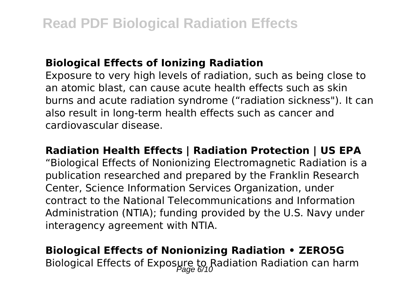#### **Biological Effects of Ionizing Radiation**

Exposure to very high levels of radiation, such as being close to an atomic blast, can cause acute health effects such as skin burns and acute radiation syndrome ("radiation sickness"). It can also result in long-term health effects such as cancer and cardiovascular disease.

#### **Radiation Health Effects | Radiation Protection | US EPA**

"Biological Effects of Nonionizing Electromagnetic Radiation is a publication researched and prepared by the Franklin Research Center, Science Information Services Organization, under contract to the National Telecommunications and Information Administration (NTIA); funding provided by the U.S. Navy under interagency agreement with NTIA.

# **Biological Effects of Nonionizing Radiation • ZERO5G** Biological Effects of Exposure to Radiation Radiation can harm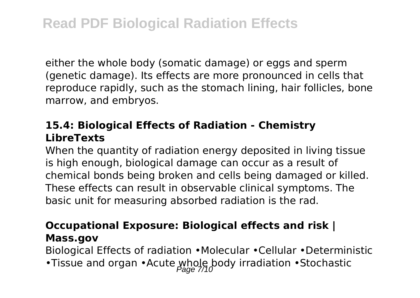either the whole body (somatic damage) or eggs and sperm (genetic damage). Its effects are more pronounced in cells that reproduce rapidly, such as the stomach lining, hair follicles, bone marrow, and embryos.

# **15.4: Biological Effects of Radiation - Chemistry LibreTexts**

When the quantity of radiation energy deposited in living tissue is high enough, biological damage can occur as a result of chemical bonds being broken and cells being damaged or killed. These effects can result in observable clinical symptoms. The basic unit for measuring absorbed radiation is the rad.

### **Occupational Exposure: Biological effects and risk | Mass.gov**

Biological Effects of radiation •Molecular •Cellular •Deterministic

•Tissue and organ •Acute whole body irradiation •Stochastic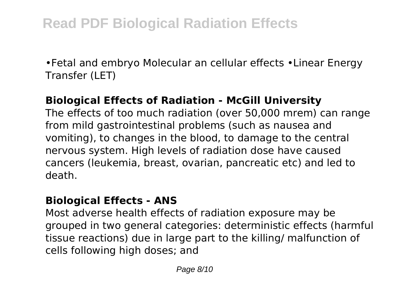•Fetal and embryo Molecular an cellular effects •Linear Energy Transfer (LET)

### **Biological Effects of Radiation - McGill University**

The effects of too much radiation (over 50,000 mrem) can range from mild gastrointestinal problems (such as nausea and vomiting), to changes in the blood, to damage to the central nervous system. High levels of radiation dose have caused cancers (leukemia, breast, ovarian, pancreatic etc) and led to death.

#### **Biological Effects - ANS**

Most adverse health effects of radiation exposure may be grouped in two general categories: deterministic effects (harmful tissue reactions) due in large part to the killing/ malfunction of cells following high doses; and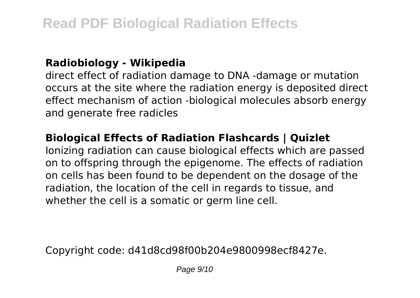#### **Radiobiology - Wikipedia**

direct effect of radiation damage to DNA -damage or mutation occurs at the site where the radiation energy is deposited direct effect mechanism of action -biological molecules absorb energy and generate free radicles

### **Biological Effects of Radiation Flashcards | Quizlet**

Ionizing radiation can cause biological effects which are passed on to offspring through the epigenome. The effects of radiation on cells has been found to be dependent on the dosage of the radiation, the location of the cell in regards to tissue, and whether the cell is a somatic or germ line cell.

Copyright code: d41d8cd98f00b204e9800998ecf8427e.

Page  $9/10$